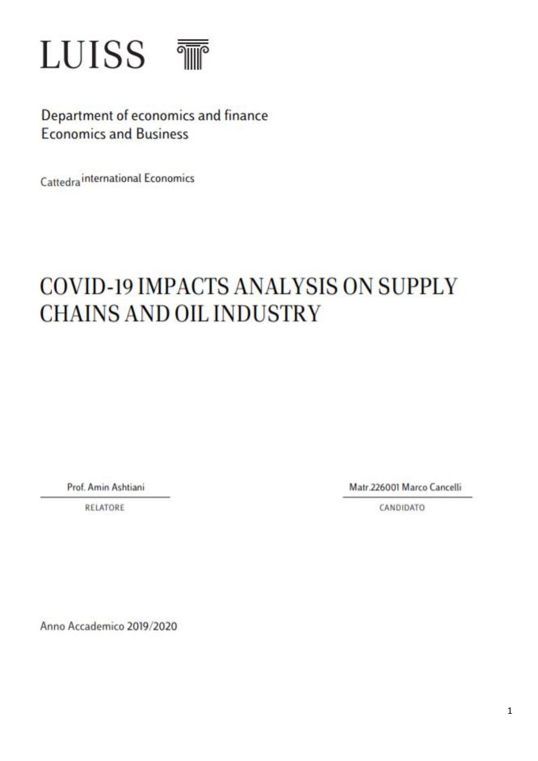

Department of economics and finance **Economics and Business** 

Cattedra international Economics

# COVID-19 IMPACTS ANALYSIS ON SUPPLY **CHAINS AND OIL INDUSTRY**

Prof. Amin Ashtiani

**RELATORE** 

Matr.226001 Marco Cancelli

CANDIDATO

Anno Accademico 2019/2020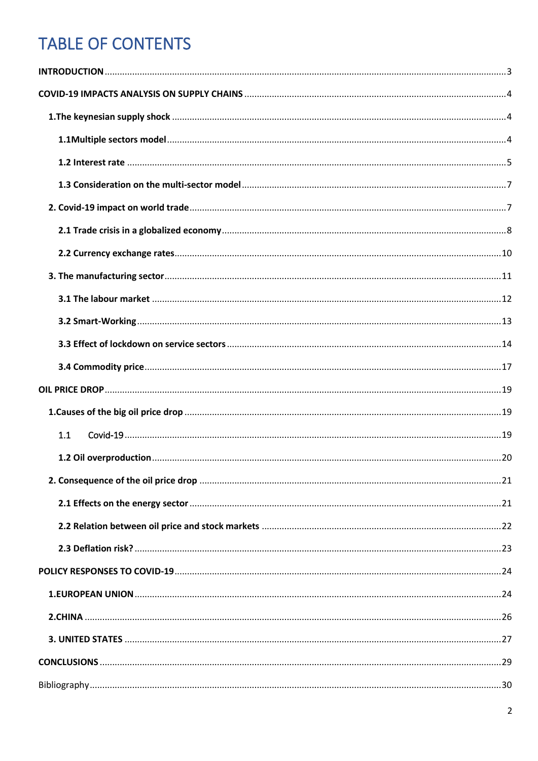# **TABLE OF CONTENTS**

| 1.1 |  |
|-----|--|
|     |  |
|     |  |
|     |  |
|     |  |
|     |  |
|     |  |
|     |  |
|     |  |
|     |  |
|     |  |
|     |  |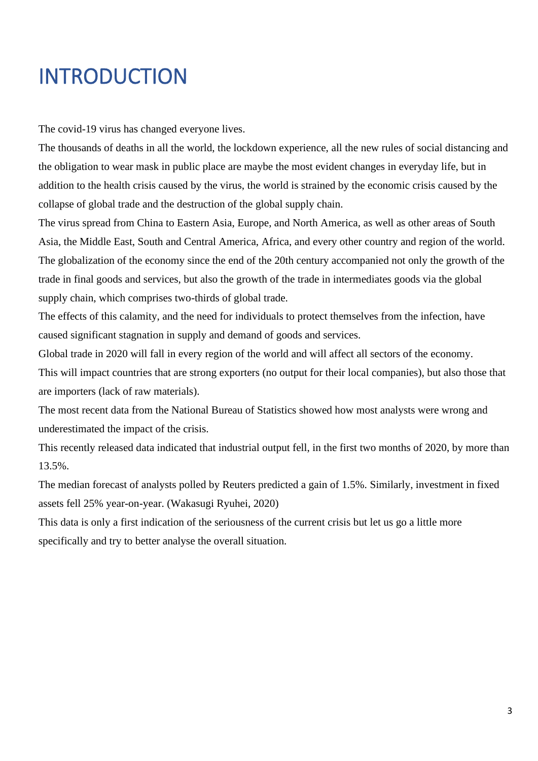# <span id="page-2-0"></span>INTRODUCTION

The covid-19 virus has changed everyone lives.

The thousands of deaths in all the world, the lockdown experience, all the new rules of social distancing and the obligation to wear mask in public place are maybe the most evident changes in everyday life, but in addition to the health crisis caused by the virus, the world is strained by the economic crisis caused by the collapse of global trade and the destruction of the global supply chain.

The virus spread from China to Eastern Asia, Europe, and North America, as well as other areas of South Asia, the Middle East, South and Central America, Africa, and every other country and region of the world. The globalization of the economy since the end of the 20th century accompanied not only the growth of the trade in final goods and services, but also the growth of the trade in intermediates goods via the global supply chain, which comprises two-thirds of global trade.

The effects of this calamity, and the need for individuals to protect themselves from the infection, have caused significant stagnation in supply and demand of goods and services.

Global trade in 2020 will fall in every region of the world and will affect all sectors of the economy.

This will impact countries that are strong exporters (no output for their local companies), but also those that are importers (lack of raw materials).

The most recent data from the National Bureau of Statistics showed how most analysts were wrong and underestimated the impact of the crisis.

This recently released data indicated that industrial output fell, in the first two months of 2020, by more than 13.5%.

The median forecast of analysts polled by Reuters predicted a gain of 1.5%. Similarly, investment in fixed assets fell 25% year-on-year. (Wakasugi Ryuhei, 2020)

This data is only a first indication of the seriousness of the current crisis but let us go a little more specifically and try to better analyse the overall situation.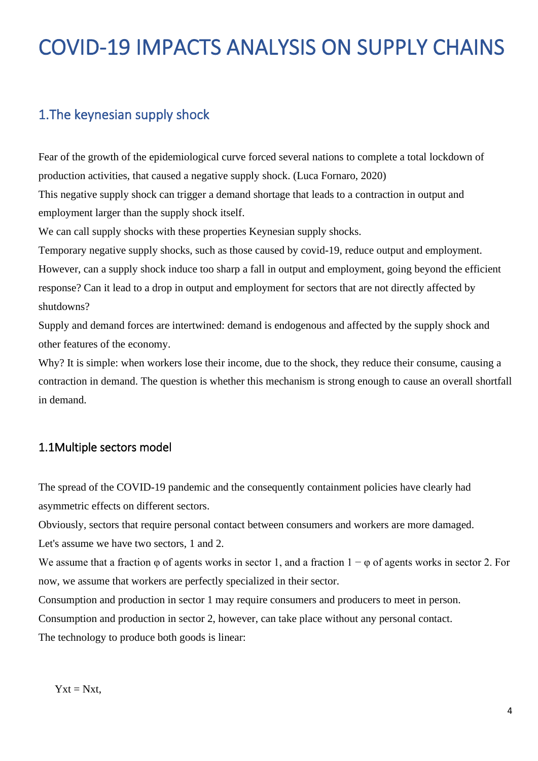# <span id="page-3-0"></span>COVID-19 IMPACTS ANALYSIS ON SUPPLY CHAINS

# <span id="page-3-1"></span>1.The keynesian supply shock

Fear of the growth of the epidemiological curve forced several nations to complete a total lockdown of production activities, that caused a negative supply shock. (Luca Fornaro, 2020) This negative supply shock can trigger a demand shortage that leads to a contraction in output and

employment larger than the supply shock itself.

We can call supply shocks with these properties Keynesian supply shocks.

Temporary negative supply shocks, such as those caused by covid-19, reduce output and employment. However, can a supply shock induce too sharp a fall in output and employment, going beyond the efficient response? Can it lead to a drop in output and employment for sectors that are not directly affected by shutdowns?

Supply and demand forces are intertwined: demand is endogenous and affected by the supply shock and other features of the economy.

Why? It is simple: when workers lose their income, due to the shock, they reduce their consume, causing a contraction in demand. The question is whether this mechanism is strong enough to cause an overall shortfall in demand.

#### <span id="page-3-2"></span>1.1Multiple sectors model

The spread of the COVID-19 pandemic and the consequently containment policies have clearly had asymmetric effects on different sectors.

Obviously, sectors that require personal contact between consumers and workers are more damaged.

Let's assume we have two sectors, 1 and 2.

We assume that a fraction  $\varphi$  of agents works in sector 1, and a fraction  $1 - \varphi$  of agents works in sector 2. For now, we assume that workers are perfectly specialized in their sector.

Consumption and production in sector 1 may require consumers and producers to meet in person.

Consumption and production in sector 2, however, can take place without any personal contact.

The technology to produce both goods is linear: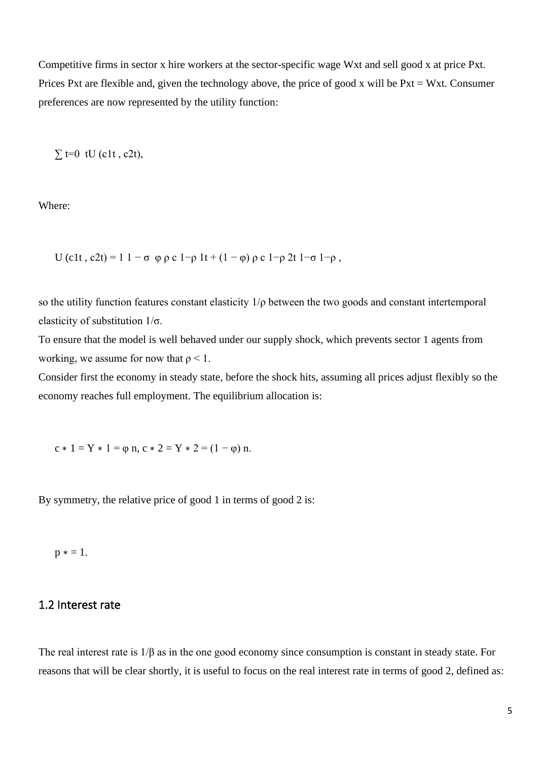Competitive firms in sector x hire workers at the sector-specific wage Wxt and sell good x at price Pxt. Prices Pxt are flexible and, given the technology above, the price of good x will be Pxt = Wxt. Consumer preferences are now represented by the utility function:

 $\Sigma$  t=0 tU (c1t, c2t),

Where:

U (c1t, c2t) = 1 1 –  $\sigma \varphi \rho c 1-\rho 1t + (1-\varphi) \rho c 1-\rho 2t 1-\sigma 1-\rho$ ,

so the utility function features constant elasticity  $1/p$  between the two goods and constant intertemporal elasticity of substitution 1/σ.

To ensure that the model is well behaved under our supply shock, which prevents sector 1 agents from working, we assume for now that  $\rho < 1$ .

Consider first the economy in steady state, before the shock hits, assuming all prices adjust flexibly so the economy reaches full employment. The equilibrium allocation is:

 $c * 1 = Y * 1 = \varphi n, c * 2 = Y * 2 = (1 - \varphi) n.$ 

By symmetry, the relative price of good 1 in terms of good 2 is:

 $p * = 1.$ 

#### <span id="page-4-0"></span>1.2 Interest rate

The real interest rate is 1/β as in the one good economy since consumption is constant in steady state. For reasons that will be clear shortly, it is useful to focus on the real interest rate in terms of good 2, defined as: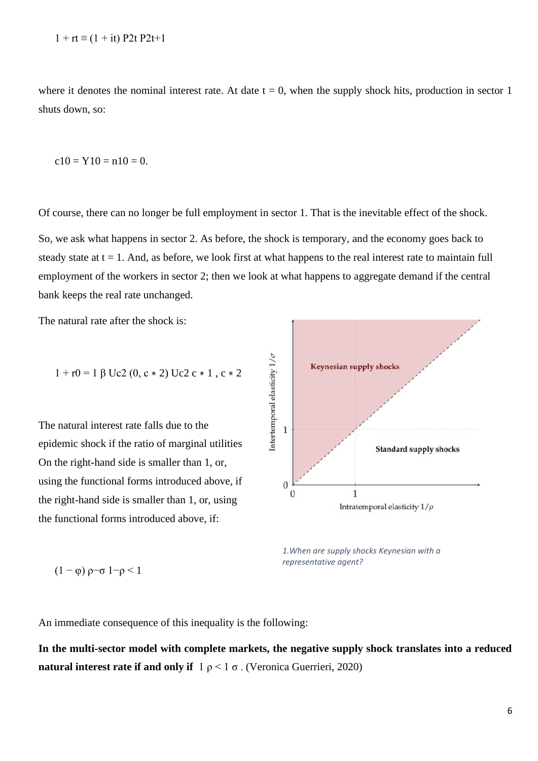where it denotes the nominal interest rate. At date  $t = 0$ , when the supply shock hits, production in sector 1 shuts down, so:

$$
c10 = Y10 = n10 = 0.
$$

Of course, there can no longer be full employment in sector 1. That is the inevitable effect of the shock. So, we ask what happens in sector 2. As before, the shock is temporary, and the economy goes back to steady state at  $t = 1$ . And, as before, we look first at what happens to the real interest rate to maintain full employment of the workers in sector 2; then we look at what happens to aggregate demand if the central bank keeps the real rate unchanged.

The natural rate after the shock is:

$$
1 + r0 = 1 \beta \text{ Uc2 } (0, c * 2) \text{ Uc2 } c * 1 , c * 2
$$

The natural interest rate falls due to the epidemic shock if the ratio of marginal utilities On the right-hand side is smaller than 1, or, using the functional forms introduced above, if the right-hand side is smaller than 1, or, using the functional forms introduced above, if:



*1.When are supply shocks Keynesian with a representative agent?*

$$
(1 - \varphi) \rho - \sigma 1 - \rho < 1
$$

An immediate consequence of this inequality is the following:

**In the multi-sector model with complete markets, the negative supply shock translates into a reduced natural interest rate if and only if**  $1 \rho \leq 1 \sigma$ . (Veronica Guerrieri, 2020)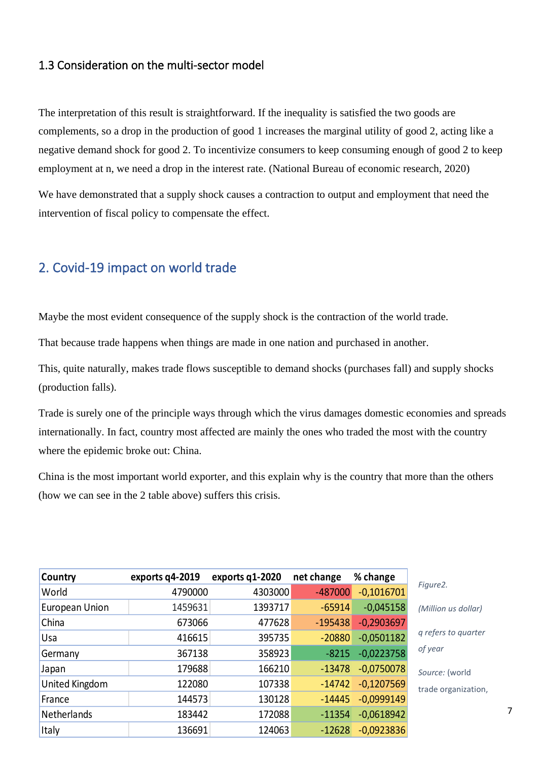### <span id="page-6-0"></span>1.3 Consideration on the multi-sector model

The interpretation of this result is straightforward. If the inequality is satisfied the two goods are complements, so a drop in the production of good 1 increases the marginal utility of good 2, acting like a negative demand shock for good 2. To incentivize consumers to keep consuming enough of good 2 to keep employment at n, we need a drop in the interest rate. (National Bureau of economic research, 2020)

We have demonstrated that a supply shock causes a contraction to output and employment that need the intervention of fiscal policy to compensate the effect.

## <span id="page-6-1"></span>2. Covid-19 impact on world trade

Maybe the most evident consequence of the supply shock is the contraction of the world trade.

That because trade happens when things are made in one nation and purchased in another.

This, quite naturally, makes trade flows susceptible to demand shocks (purchases fall) and supply shocks (production falls).

Trade is surely one of the principle ways through which the virus damages domestic economies and spreads internationally. In fact, country most affected are mainly the ones who traded the most with the country where the epidemic broke out: China.

China is the most important world exporter, and this explain why is the country that more than the others (how we can see in the 2 table above) suffers this crisis.

| Country        | exports q4-2019 | exports q1-2020 | net change | % change     |                     |
|----------------|-----------------|-----------------|------------|--------------|---------------------|
| World          | 4790000         | 4303000         | $-487000$  | $-0,1016701$ | Figure2.            |
| European Union | 1459631         | 1393717         | $-65914$   | $-0,045158$  | (Million us dollar) |
| China          | 673066          | 477628          | $-195438$  | $-0,2903697$ |                     |
| Usa            | 416615          | 395735          | $-20880$   | $-0,0501182$ | q refers to quarter |
| Germany        | 367138          | 358923          | $-8215$    | $-0,0223758$ | of year             |
| Japan          | 179688          | 166210          | $-13478$   | $-0,0750078$ | Source: (world      |
| United Kingdom | 122080          | 107338          | $-14742$   | $-0,1207569$ | trade organization, |
| France         | 144573          | 130128          | $-14445$   | $-0,0999149$ |                     |
| Netherlands    | 183442          | 172088          | $-11354$   | $-0,0618942$ |                     |
| Italy          | 136691          | 124063          | $-12628$   | $-0,0923836$ |                     |

7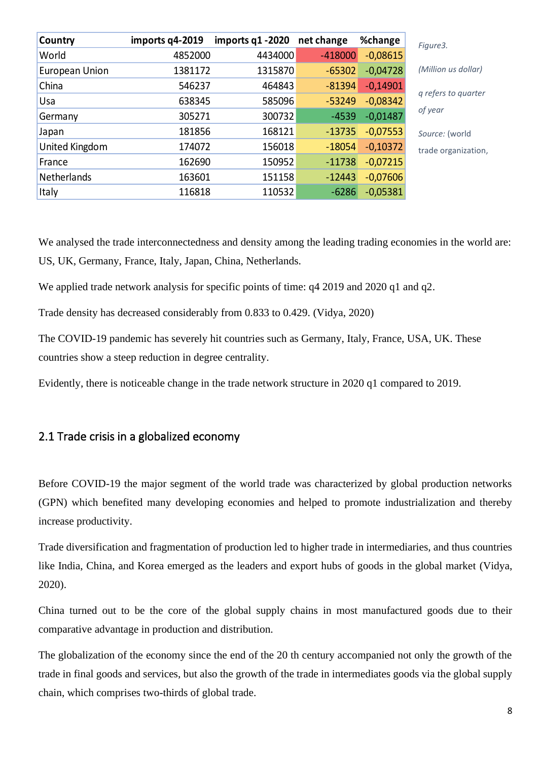| Country        | imports q4-2019 | imports q1 -2020 | net change | %change    | Figure3.            |
|----------------|-----------------|------------------|------------|------------|---------------------|
| World          | 4852000         | 4434000          | $-418000$  | $-0,08615$ |                     |
| European Union | 1381172         | 1315870          | $-65302$   | $-0,04728$ | (Million us dollar) |
| China          | 546237          | 464843           | $-81394$   | $-0,14901$ |                     |
| Usa            | 638345          | 585096           | $-53249$   | $-0,08342$ | q refers to quarter |
| Germany        | 305271          | 300732           | $-4539$    | $-0,01487$ | of year             |
| Japan          | 181856          | 168121           | $-13735$   | $-0,07553$ | Source: (world      |
| United Kingdom | 174072          | 156018           | $-18054$   | $-0,10372$ | trade organization, |
| France         | 162690          | 150952           | $-11738$   | $-0,07215$ |                     |
| Netherlands    | 163601          | 151158           | $-12443$   | $-0,07606$ |                     |
| Italy          | 116818          | 110532           | $-6286$    | $-0,05381$ |                     |

We analysed the trade interconnectedness and density among the leading trading economies in the world are: US, UK, Germany, France, Italy, Japan, China, Netherlands.

We applied trade network analysis for specific points of time:  $q4\ 2019$  and  $2020\ q1$  and  $q2$ .

Trade density has decreased considerably from 0.833 to 0.429. (Vidya, 2020)

The COVID-19 pandemic has severely hit countries such as Germany, Italy, France, USA, UK. These countries show a steep reduction in degree centrality.

Evidently, there is noticeable change in the trade network structure in 2020 q1 compared to 2019.

#### <span id="page-7-0"></span>2.1 Trade crisis in a globalized economy

Before COVID-19 the major segment of the world trade was characterized by global production networks (GPN) which benefited many developing economies and helped to promote industrialization and thereby increase productivity.

Trade diversification and fragmentation of production led to higher trade in intermediaries, and thus countries like India, China, and Korea emerged as the leaders and export hubs of goods in the global market (Vidya, 2020).

China turned out to be the core of the global supply chains in most manufactured goods due to their comparative advantage in production and distribution.

The globalization of the economy since the end of the 20 th century accompanied not only the growth of the trade in final goods and services, but also the growth of the trade in intermediates goods via the global supply chain, which comprises two-thirds of global trade.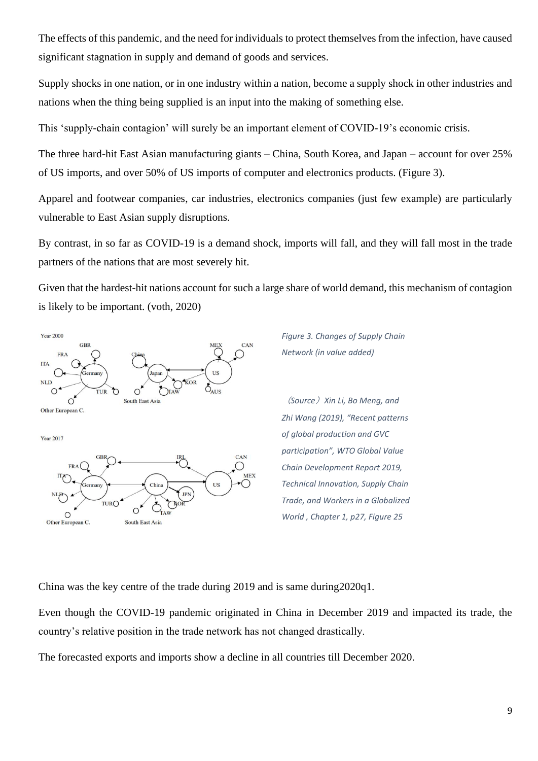The effects of this pandemic, and the need for individuals to protect themselves from the infection, have caused significant stagnation in supply and demand of goods and services.

Supply shocks in one nation, or in one industry within a nation, become a supply shock in other industries and nations when the thing being supplied is an input into the making of something else.

This 'supply-chain contagion' will surely be an important element of COVID-19's economic crisis.

The three hard-hit East Asian manufacturing giants – China, South Korea, and Japan – account for over 25% of US imports, and over 50% of US imports of computer and electronics products. (Figure 3).

Apparel and footwear companies, car industries, electronics companies (just few example) are particularly vulnerable to East Asian supply disruptions.

By contrast, in so far as COVID-19 is a demand shock, imports will fall, and they will fall most in the trade partners of the nations that are most severely hit.

Given that the hardest-hit nations account for such a large share of world demand, this mechanism of contagion is likely to be important. (voth, 2020)



*Figure 3. Changes of Supply Chain Network (in value added)*

(*Source*)*Xin Li, Bo Meng, and Zhi Wang (2019), "Recent patterns of global production and GVC participation", WTO Global Value Chain Development Report 2019, Technical Innovation, Supply Chain Trade, and Workers in a Globalized World , Chapter 1, p27, Figure 25*

China was the key centre of the trade during 2019 and is same during2020q1.

Even though the COVID-19 pandemic originated in China in December 2019 and impacted its trade, the country's relative position in the trade network has not changed drastically.

The forecasted exports and imports show a decline in all countries till December 2020.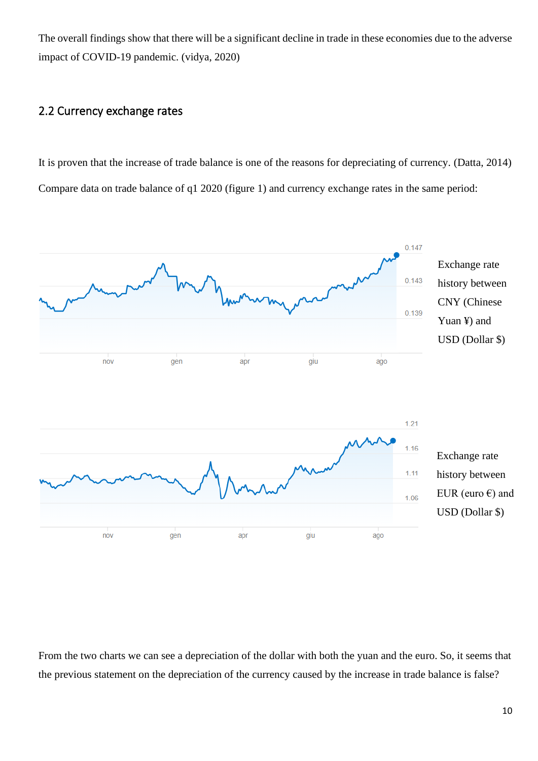The overall findings show that there will be a significant decline in trade in these economies due to the adverse impact of COVID-19 pandemic. (vidya, 2020)

### <span id="page-9-0"></span>2.2 Currency exchange rates

It is proven that the increase of trade balance is one of the reasons for depreciating of currency. (Datta, 2014) Compare data on trade balance of q1 2020 (figure 1) and currency exchange rates in the same period:



From the two charts we can see a depreciation of the dollar with both the yuan and the euro. So, it seems that the previous statement on the depreciation of the currency caused by the increase in trade balance is false?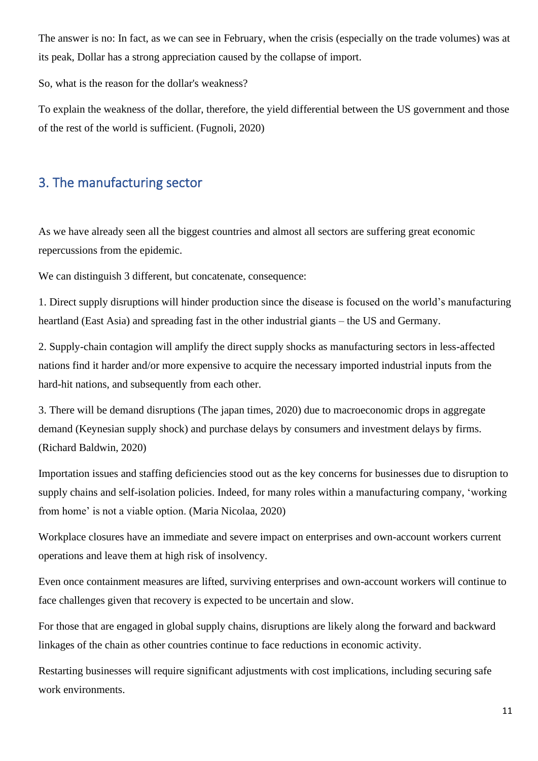The answer is no: In fact, as we can see in February, when the crisis (especially on the trade volumes) was at its peak, Dollar has a strong appreciation caused by the collapse of import.

So, what is the reason for the dollar's weakness?

To explain the weakness of the dollar, therefore, the yield differential between the US government and those of the rest of the world is sufficient. (Fugnoli, 2020)

# <span id="page-10-0"></span>3. The manufacturing sector

As we have already seen all the biggest countries and almost all sectors are suffering great economic repercussions from the epidemic.

We can distinguish 3 different, but concatenate, consequence:

1. Direct supply disruptions will hinder production since the disease is focused on the world's manufacturing heartland (East Asia) and spreading fast in the other industrial giants – the US and Germany.

2. Supply-chain contagion will amplify the direct supply shocks as manufacturing sectors in less-affected nations find it harder and/or more expensive to acquire the necessary imported industrial inputs from the hard-hit nations, and subsequently from each other.

3. There will be demand disruptions (The japan times, 2020) due to macroeconomic drops in aggregate demand (Keynesian supply shock) and purchase delays by consumers and investment delays by firms. (Richard Baldwin, 2020)

Importation issues and staffing deficiencies stood out as the key concerns for businesses due to disruption to supply chains and self-isolation policies. Indeed, for many roles within a manufacturing company, 'working from home' is not a viable option. (Maria Nicolaa, 2020)

Workplace closures have an immediate and severe impact on enterprises and own-account workers current operations and leave them at high risk of insolvency.

Even once containment measures are lifted, surviving enterprises and own-account workers will continue to face challenges given that recovery is expected to be uncertain and slow.

For those that are engaged in global supply chains, disruptions are likely along the forward and backward linkages of the chain as other countries continue to face reductions in economic activity.

Restarting businesses will require significant adjustments with cost implications, including securing safe work environments.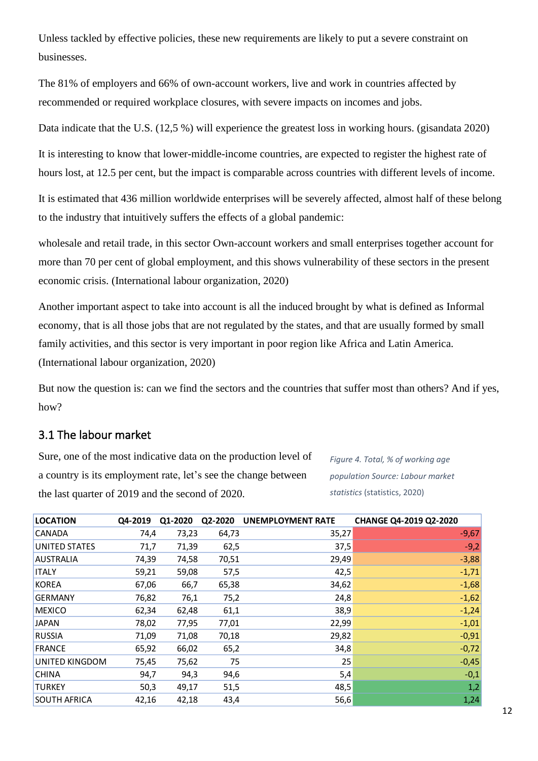Unless tackled by effective policies, these new requirements are likely to put a severe constraint on businesses.

The 81% of employers and 66% of own-account workers, live and work in countries affected by recommended or required workplace closures, with severe impacts on incomes and jobs.

Data indicate that the U.S. (12,5 %) will experience the greatest loss in working hours. (gisandata 2020)

It is interesting to know that lower-middle-income countries, are expected to register the highest rate of hours lost, at 12.5 per cent, but the impact is comparable across countries with different levels of income.

It is estimated that 436 million worldwide enterprises will be severely affected, almost half of these belong to the industry that intuitively suffers the effects of a global pandemic:

wholesale and retail trade, in this sector Own-account workers and small enterprises together account for more than 70 per cent of global employment, and this shows vulnerability of these sectors in the present economic crisis. (International labour organization, 2020)

Another important aspect to take into account is all the induced brought by what is defined as Informal economy, that is all those jobs that are not regulated by the states, and that are usually formed by small family activities, and this sector is very important in poor region like Africa and Latin America. (International labour organization, 2020)

But now the question is: can we find the sectors and the countries that suffer most than others? And if yes, how?

### <span id="page-11-0"></span>3.1 The labour market

Sure, one of the most indicative data on the production level of a country is its employment rate, let's see the change between the last quarter of 2019 and the second of 2020.

*Figure 4. Total, % of working age population Source: Labour market statistics* (statistics, 2020)

| <b>LOCATION</b>     | Q4-2019 | Q1-2020 |       | Q2-2020 UNEMPLOYMENT RATE | CHANGE Q4-2019 Q2-2020 |
|---------------------|---------|---------|-------|---------------------------|------------------------|
| CANADA              | 74,4    | 73,23   | 64,73 | 35,27                     | $-9,67$                |
| UNITED STATES       | 71,7    | 71,39   | 62,5  | 37,5                      | $-9,2$                 |
| <b>AUSTRALIA</b>    | 74,39   | 74,58   | 70,51 | 29,49                     | $-3,88$                |
| <b>ITALY</b>        | 59,21   | 59,08   | 57,5  | 42,5                      | $-1,71$                |
| <b>KOREA</b>        | 67,06   | 66,7    | 65,38 | 34,62                     | $-1,68$                |
| <b>GERMANY</b>      | 76,82   | 76,1    | 75,2  | 24,8                      | $-1,62$                |
| <b>MEXICO</b>       | 62,34   | 62,48   | 61,1  | 38,9                      | $-1,24$                |
| <b>JAPAN</b>        | 78,02   | 77,95   | 77,01 | 22,99                     | $-1,01$                |
| <b>RUSSIA</b>       | 71,09   | 71,08   | 70,18 | 29,82                     | $-0,91$                |
| <b>FRANCE</b>       | 65,92   | 66,02   | 65,2  | 34,8                      | $-0,72$                |
| UNITED KINGDOM      | 75,45   | 75,62   | 75    | 25                        | $-0,45$                |
| <b>CHINA</b>        | 94,7    | 94,3    | 94,6  | 5,4                       | $-0,1$                 |
| <b>TURKEY</b>       | 50,3    | 49,17   | 51,5  | 48,5                      | 1,2                    |
| <b>SOUTH AFRICA</b> | 42,16   | 42,18   | 43,4  | 56,6                      | 1,24                   |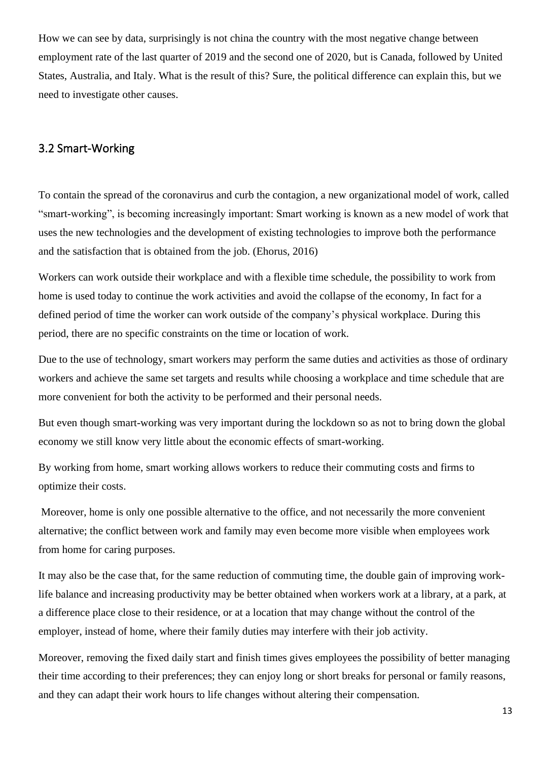How we can see by data, surprisingly is not china the country with the most negative change between employment rate of the last quarter of 2019 and the second one of 2020, but is Canada, followed by United States, Australia, and Italy. What is the result of this? Sure, the political difference can explain this, but we need to investigate other causes.

### <span id="page-12-0"></span>3.2 Smart-Working

To contain the spread of the coronavirus and curb the contagion, a new organizational model of work, called "smart-working", is becoming increasingly important: Smart working is known as a new model of work that uses the new technologies and the development of existing technologies to improve both the performance and the satisfaction that is obtained from the job. (Ehorus, 2016)

Workers can work outside their workplace and with a flexible time schedule, the possibility to work from home is used today to continue the work activities and avoid the collapse of the economy, In fact for a defined period of time the worker can work outside of the company's physical workplace. During this period, there are no specific constraints on the time or location of work.

Due to the use of technology, smart workers may perform the same duties and activities as those of ordinary workers and achieve the same set targets and results while choosing a workplace and time schedule that are more convenient for both the activity to be performed and their personal needs.

But even though smart-working was very important during the lockdown so as not to bring down the global economy we still know very little about the economic effects of smart-working.

By working from home, smart working allows workers to reduce their commuting costs and firms to optimize their costs.

Moreover, home is only one possible alternative to the office, and not necessarily the more convenient alternative; the conflict between work and family may even become more visible when employees work from home for caring purposes.

It may also be the case that, for the same reduction of commuting time, the double gain of improving worklife balance and increasing productivity may be better obtained when workers work at a library, at a park, at a difference place close to their residence, or at a location that may change without the control of the employer, instead of home, where their family duties may interfere with their job activity.

Moreover, removing the fixed daily start and finish times gives employees the possibility of better managing their time according to their preferences; they can enjoy long or short breaks for personal or family reasons, and they can adapt their work hours to life changes without altering their compensation.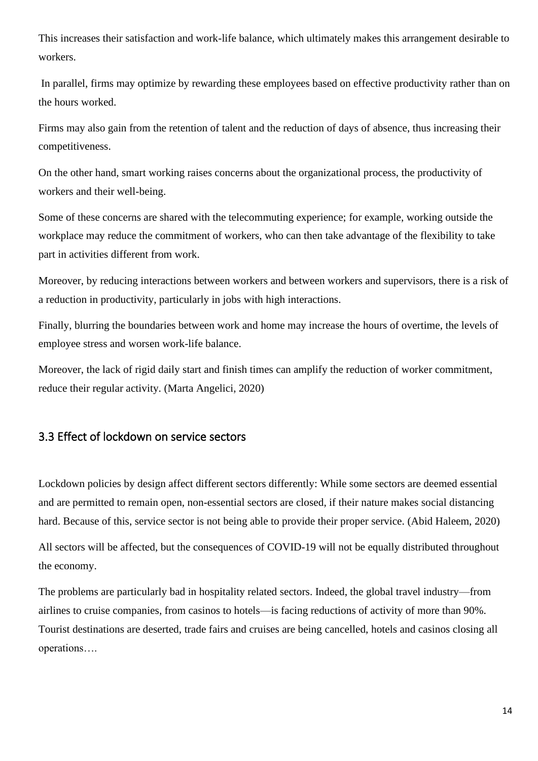This increases their satisfaction and work-life balance, which ultimately makes this arrangement desirable to workers.

In parallel, firms may optimize by rewarding these employees based on effective productivity rather than on the hours worked.

Firms may also gain from the retention of talent and the reduction of days of absence, thus increasing their competitiveness.

On the other hand, smart working raises concerns about the organizational process, the productivity of workers and their well-being.

Some of these concerns are shared with the telecommuting experience; for example, working outside the workplace may reduce the commitment of workers, who can then take advantage of the flexibility to take part in activities different from work.

Moreover, by reducing interactions between workers and between workers and supervisors, there is a risk of a reduction in productivity, particularly in jobs with high interactions.

Finally, blurring the boundaries between work and home may increase the hours of overtime, the levels of employee stress and worsen work-life balance.

Moreover, the lack of rigid daily start and finish times can amplify the reduction of worker commitment, reduce their regular activity. (Marta Angelici, 2020)

### <span id="page-13-0"></span>3.3 Effect of lockdown on service sectors

Lockdown policies by design affect different sectors differently: While some sectors are deemed essential and are permitted to remain open, non-essential sectors are closed, if their nature makes social distancing hard. Because of this, service sector is not being able to provide their proper service. (Abid Haleem, 2020)

All sectors will be affected, but the consequences of COVID-19 will not be equally distributed throughout the economy.

The problems are particularly bad in hospitality related sectors. Indeed, the global travel industry—from airlines to cruise companies, from casinos to hotels—is facing reductions of activity of more than 90%. Tourist destinations are deserted, trade fairs and cruises are being cancelled, hotels and casinos closing all operations….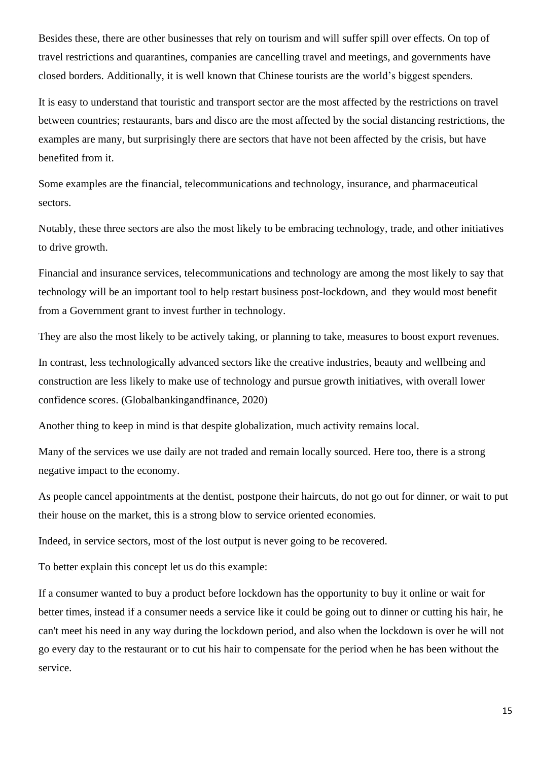Besides these, there are other businesses that rely on tourism and will suffer spill over effects. On top of travel restrictions and quarantines, companies are cancelling travel and meetings, and governments have closed borders. Additionally, it is well known that Chinese tourists are the world's biggest spenders.

It is easy to understand that touristic and transport sector are the most affected by the restrictions on travel between countries; restaurants, bars and disco are the most affected by the social distancing restrictions, the examples are many, but surprisingly there are sectors that have not been affected by the crisis, but have benefited from it.

Some examples are the financial, telecommunications and technology, insurance, and pharmaceutical sectors.

Notably, these three sectors are also the most likely to be embracing technology, trade, and other initiatives to drive growth.

Financial and insurance services, telecommunications and technology are among the most likely to say that technology will be an important tool to help restart business post-lockdown, and they would most benefit from a Government grant to invest further in technology.

They are also the most likely to be actively taking, or planning to take, measures to boost export revenues.

In contrast, less technologically advanced sectors like the creative industries, beauty and wellbeing and construction are less likely to make use of technology and pursue growth initiatives, with overall lower confidence scores. (Globalbankingandfinance, 2020)

Another thing to keep in mind is that despite globalization, much activity remains local.

Many of the services we use daily are not traded and remain locally sourced. Here too, there is a strong negative impact to the economy.

As people cancel appointments at the dentist, postpone their haircuts, do not go out for dinner, or wait to put their house on the market, this is a strong blow to service oriented economies.

Indeed, in service sectors, most of the lost output is never going to be recovered.

To better explain this concept let us do this example:

If a consumer wanted to buy a product before lockdown has the opportunity to buy it online or wait for better times, instead if a consumer needs a service like it could be going out to dinner or cutting his hair, he can't meet his need in any way during the lockdown period, and also when the lockdown is over he will not go every day to the restaurant or to cut his hair to compensate for the period when he has been without the service.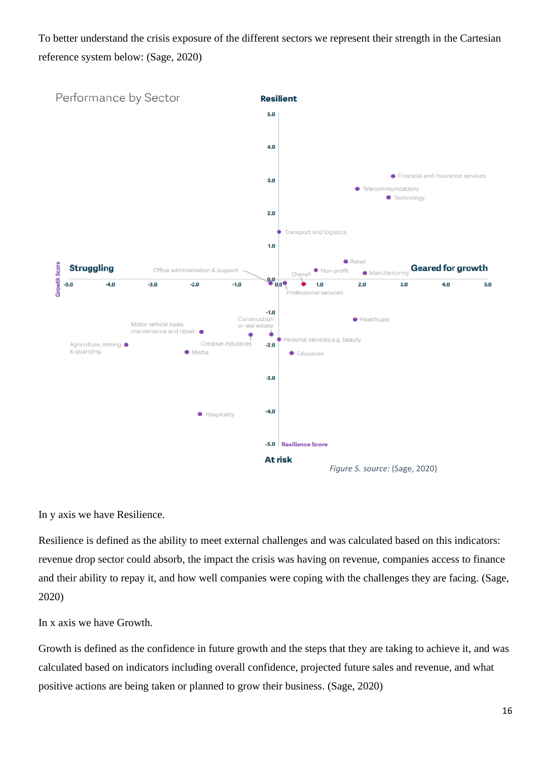To better understand the crisis exposure of the different sectors we represent their strength in the Cartesian reference system below: (Sage, 2020)



In y axis we have Resilience.

Resilience is defined as the ability to meet external challenges and was calculated based on this indicators: revenue drop sector could absorb, the impact the crisis was having on revenue, companies access to finance and their ability to repay it, and how well companies were coping with the challenges they are facing. (Sage, 2020)

In x axis we have Growth.

Growth is defined as the confidence in future growth and the steps that they are taking to achieve it, and was calculated based on indicators including overall confidence, projected future sales and revenue, and what positive actions are being taken or planned to grow their business. (Sage, 2020)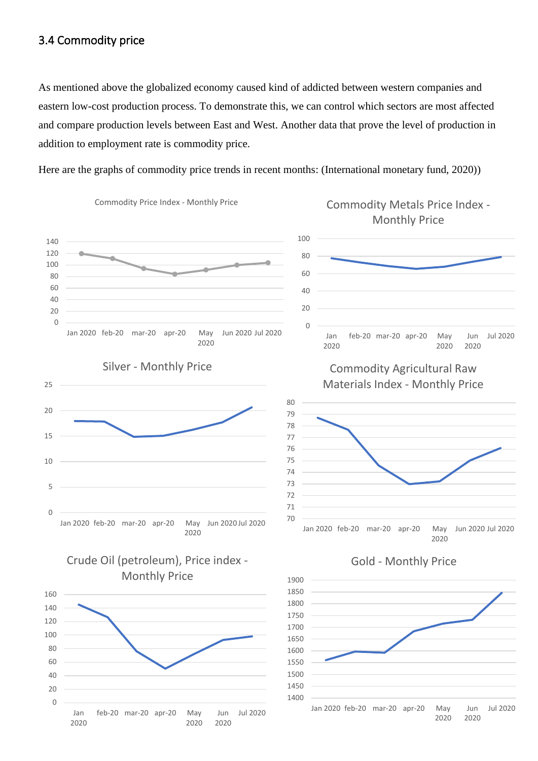### <span id="page-16-0"></span>3.4 Commodity price

As mentioned above the globalized economy caused kind of addicted between western companies and eastern low-cost production process. To demonstrate this, we can control which sectors are most affected and compare production levels between East and West. Another data that prove the level of production in addition to employment rate is commodity price.

Here are the graphs of commodity price trends in recent months: (International monetary fund, 2020))



Commodity Price Index - Monthly Price



## Crude Oil (petroleum), Price index - Monthly Price





# Commodity Agricultural Raw

Materials Index - Monthly Price



#### Gold - Monthly Price



## Commodity Metals Price Index - Monthly Price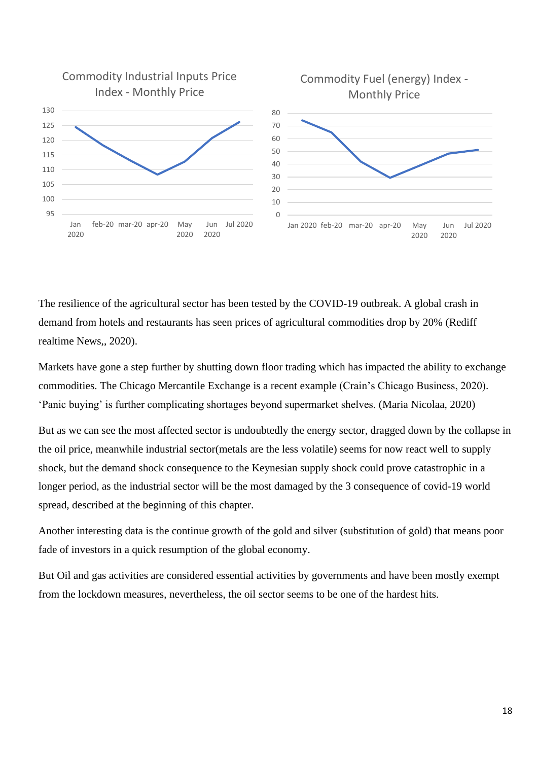

The resilience of the agricultural sector has been tested by the COVID-19 outbreak. A global crash in demand from hotels and restaurants has seen prices of agricultural commodities drop by 20% (Rediff realtime News,, 2020).

Markets have gone a step further by shutting down floor trading which has impacted the ability to exchange commodities. The Chicago Mercantile Exchange is a recent example (Crain's Chicago Business, 2020). 'Panic buying' is further complicating shortages beyond supermarket shelves. (Maria Nicolaa, 2020)

But as we can see the most affected sector is undoubtedly the energy sector, dragged down by the collapse in the oil price, meanwhile industrial sector(metals are the less volatile) seems for now react well to supply shock, but the demand shock consequence to the Keynesian supply shock could prove catastrophic in a longer period, as the industrial sector will be the most damaged by the 3 consequence of covid-19 world spread, described at the beginning of this chapter.

Another interesting data is the continue growth of the gold and silver (substitution of gold) that means poor fade of investors in a quick resumption of the global economy.

But Oil and gas activities are considered essential activities by governments and have been mostly exempt from the lockdown measures, nevertheless, the oil sector seems to be one of the hardest hits.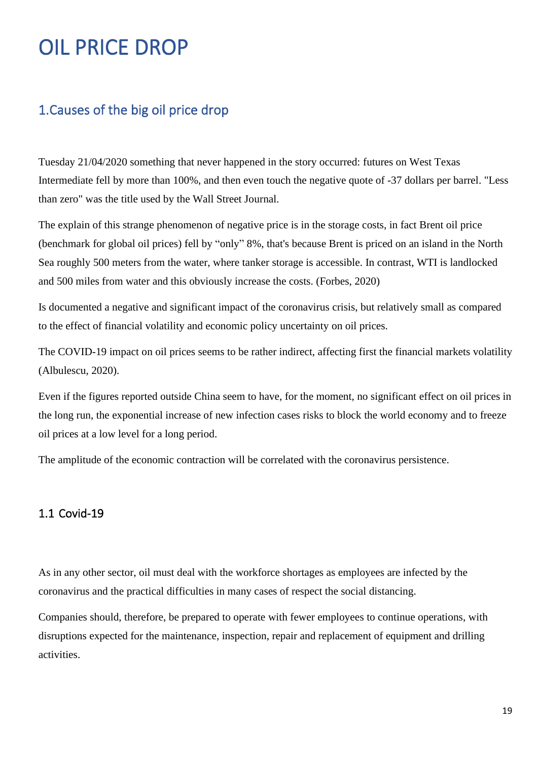# <span id="page-18-0"></span>OIL PRICE DROP

# <span id="page-18-1"></span>1.Causes of the big oil price drop

Tuesday 21/04/2020 something that never happened in the story occurred: futures on West Texas Intermediate fell by more than 100%, and then even touch the negative quote of -37 dollars per barrel. "Less than zero" was the title used by the Wall Street Journal.

The explain of this strange phenomenon of negative price is in the storage costs, in fact Brent oil price (benchmark for global oil prices) fell by "only" 8%, that's because Brent is priced on an island in the North Sea roughly 500 meters from the water, where tanker storage is accessible. In contrast, WTI is landlocked and 500 miles from water and this obviously increase the costs. (Forbes, 2020)

Is documented a negative and significant impact of the coronavirus crisis, but relatively small as compared to the effect of financial volatility and economic policy uncertainty on oil prices.

The COVID-19 impact on oil prices seems to be rather indirect, affecting first the financial markets volatility (Albulescu, 2020).

Even if the figures reported outside China seem to have, for the moment, no significant effect on oil prices in the long run, the exponential increase of new infection cases risks to block the world economy and to freeze oil prices at a low level for a long period.

The amplitude of the economic contraction will be correlated with the coronavirus persistence.

### <span id="page-18-2"></span>1.1 Covid-19

As in any other sector, oil must deal with the workforce shortages as employees are infected by the coronavirus and the practical difficulties in many cases of respect the social distancing.

Companies should, therefore, be prepared to operate with fewer employees to continue operations, with disruptions expected for the maintenance, inspection, repair and replacement of equipment and drilling activities.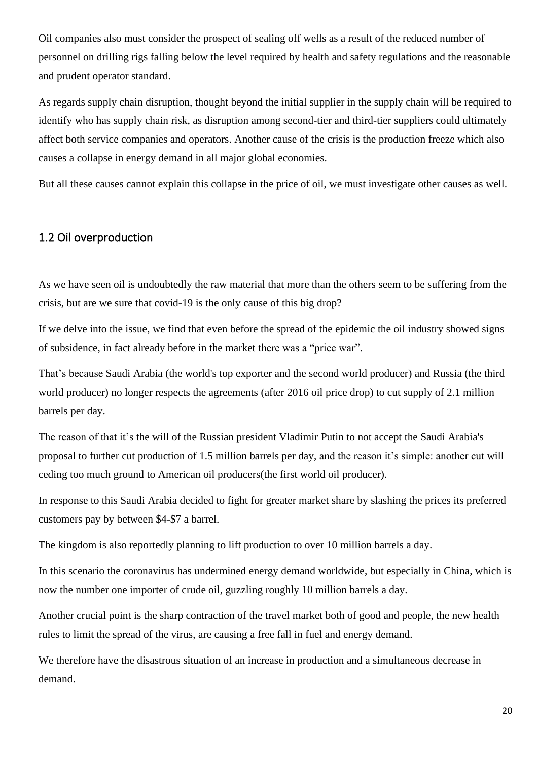Oil companies also must consider the prospect of sealing off wells as a result of the reduced number of personnel on drilling rigs falling below the level required by health and safety regulations and the reasonable and prudent operator standard.

As regards supply chain disruption, thought beyond the initial supplier in the supply chain will be required to identify who has supply chain risk, as disruption among second-tier and third-tier suppliers could ultimately affect both service companies and operators. Another cause of the crisis is the production freeze which also causes a collapse in energy demand in all major global economies.

But all these causes cannot explain this collapse in the price of oil, we must investigate other causes as well.

#### <span id="page-19-0"></span>1.2 Oil overproduction

As we have seen oil is undoubtedly the raw material that more than the others seem to be suffering from the crisis, but are we sure that covid-19 is the only cause of this big drop?

If we delve into the issue, we find that even before the spread of the epidemic the oil industry showed signs of subsidence, in fact already before in the market there was a "price war".

That's because Saudi Arabia (the world's top exporter and the second world producer) and Russia (the third world producer) no longer respects the agreements (after 2016 oil price drop) to cut supply of 2.1 million barrels per day.

The reason of that it's the will of the Russian president Vladimir Putin to not accept the Saudi Arabia's proposal to further cut production of 1.5 million barrels per day, and the reason it's simple: another cut will ceding too much ground to American oil producers(the first world oil producer).

In response to this Saudi Arabia decided to fight for greater market share by slashing the prices its preferred customers pay by between \$4-\$7 a barrel.

The kingdom is also reportedly planning to lift production to over 10 million barrels a day.

In this scenario the coronavirus has [undermined energy demand](http://edition.cnn.com/2020/03/04/business/oil-prices-opec/index.html) worldwide, but especially in China, which is now the number one importer of crude oil, guzzling roughly 10 million barrels a day.

Another crucial point is the sharp contraction of the travel market both of good and people, the new health rules to limit the spread of the virus, are causing a free fall in fuel and energy demand.

We therefore have the disastrous situation of an increase in production and a simultaneous decrease in demand.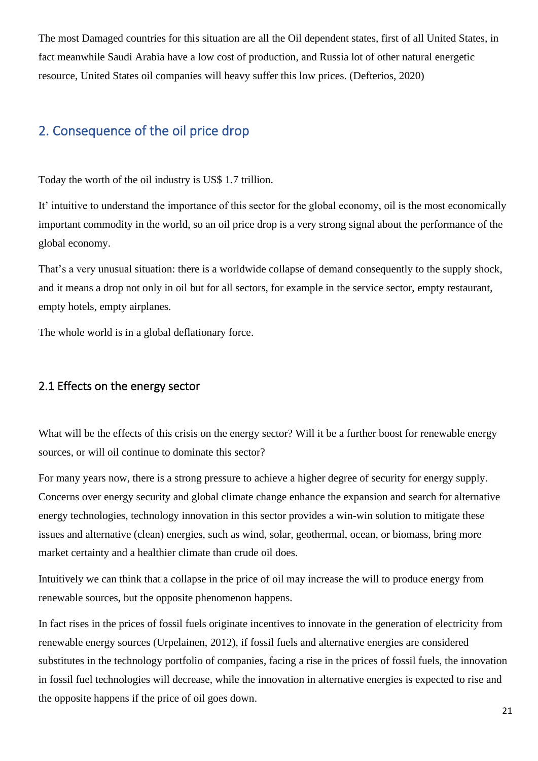The most Damaged countries for this situation are all the Oil dependent states, first of all United States, in fact meanwhile Saudi Arabia have a low cost of production, and Russia lot of other natural energetic resource, United States oil companies will heavy suffer this low prices. (Defterios, 2020)

# <span id="page-20-0"></span>2. Consequence of the oil price drop

Today the worth of the oil industry is US\$ 1.7 trillion.

It' intuitive to understand the importance of this sector for the global economy, oil is the most economically important commodity in the world, so an oil price drop is a very strong signal about the performance of the global economy.

That's a very unusual situation: there is a worldwide collapse of demand consequently to the supply shock, and it means a drop not only in oil but for all sectors, for example in the service sector, empty restaurant, empty hotels, empty airplanes.

The whole world is in a global deflationary force.

#### <span id="page-20-1"></span>2.1 Effects on the energy sector

What will be the effects of this crisis on the energy sector? Will it be a further boost for renewable energy sources, or will oil continue to dominate this sector?

For many years now, there is a strong pressure to achieve a higher degree of security for energy supply. Concerns over energy security and global climate change enhance the expansion and search for alternative energy technologies, technology innovation in this sector provides a win-win solution to mitigate these issues and alternative (clean) energies, such as wind, solar, geothermal, ocean, or biomass, bring more market certainty and a healthier climate than crude oil does.

Intuitively we can think that a collapse in the price of oil may increase the will to produce energy from renewable sources, but the opposite phenomenon happens.

In fact rises in the prices of fossil fuels originate incentives to innovate in the generation of electricity from renewable energy sources (Urpelainen, 2012), if fossil fuels and alternative energies are considered substitutes in the technology portfolio of companies, facing a rise in the prices of fossil fuels, the innovation in fossil fuel technologies will decrease, while the innovation in alternative energies is expected to rise and the opposite happens if the price of oil goes down.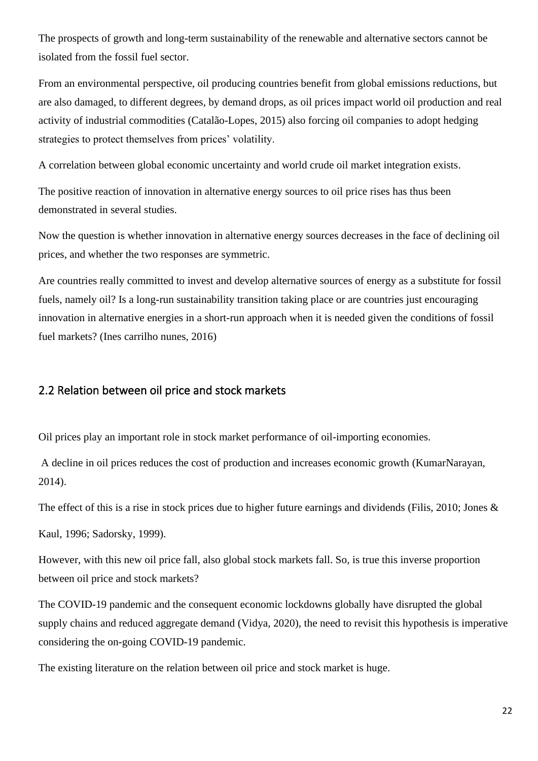The prospects of growth and long-term sustainability of the renewable and alternative sectors cannot be isolated from the fossil fuel sector.

From an environmental perspective, oil producing countries benefit from global emissions reductions, but are also damaged, to different degrees, by demand drops, as oil prices impact world oil production and real activity of industrial commodities (Catalão-Lopes, 2015) also forcing oil companies to adopt hedging strategies to protect themselves from prices' volatility.

A correlation between global economic uncertainty and world crude oil market integration exists.

The positive reaction of innovation in alternative energy sources to oil price rises has thus been demonstrated in several studies.

Now the question is whether innovation in alternative energy sources decreases in the face of declining oil prices, and whether the two responses are symmetric.

Are countries really committed to invest and develop alternative sources of energy as a substitute for fossil fuels, namely oil? Is a long-run sustainability transition taking place or are countries just encouraging innovation in alternative energies in a short-run approach when it is needed given the conditions of fossil fuel markets? (Ines carrilho nunes, 2016)

#### <span id="page-21-0"></span>2.2 Relation between oil price and stock markets

Oil prices play an important role in stock market performance of oil-importing economies.

A decline in oil prices reduces the cost of production and increases economic growth (KumarNarayan, 2014).

The effect of this is a rise in stock prices due to higher future earnings and dividends (Filis, 2010; Jones &

Kaul, 1996; Sadorsky, 1999).

However, with this new oil price fall, also global stock markets fall. So, is true this inverse proportion between oil price and stock markets?

The COVID-19 pandemic and the consequent economic lockdowns globally have disrupted the global supply chains and reduced aggregate demand (Vidya, 2020), the need to revisit this hypothesis is imperative considering the on-going COVID-19 pandemic.

The existing literature on the relation between oil price and stock market is huge.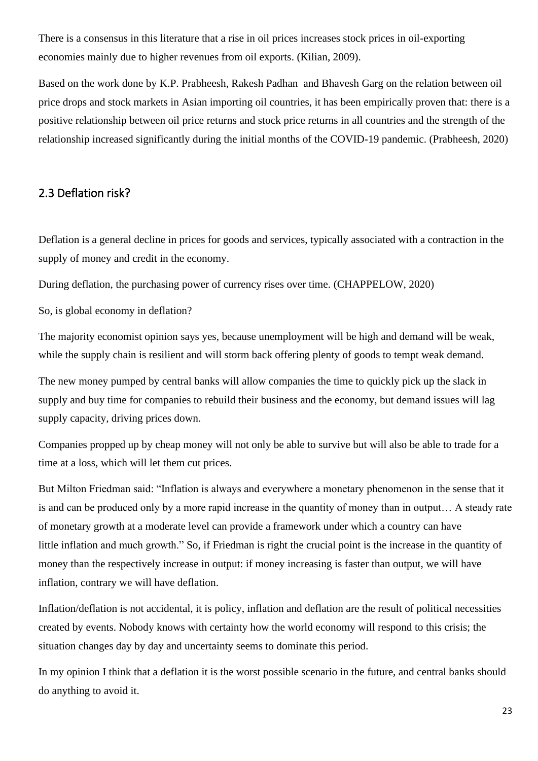There is a consensus in this literature that a rise in oil prices increases stock prices in oil-exporting economies mainly due to higher revenues from oil exports. (Kilian, 2009).

Based on the work done by K.P. Prabheesh, Rakesh Padhan and Bhavesh Garg on the relation between oil price drops and stock markets in Asian importing oil countries, it has been empirically proven that: there is a positive relationship between oil price returns and stock price returns in all countries and the strength of the relationship increased significantly during the initial months of the COVID-19 pandemic. (Prabheesh, 2020)

#### <span id="page-22-0"></span>2.3 Deflation risk?

Deflation is a general decline in prices for goods and services, typically associated with a contraction in the supply of money and credit in the economy.

During deflation, the purchasing power of currency rises over time. (CHAPPELOW, 2020)

So, is global economy in deflation?

The majority economist opinion says yes, because unemployment will be high and demand will be weak, while the supply chain is resilient and will storm back offering plenty of goods to tempt weak demand.

The new money pumped by central banks will allow companies the time to quickly pick up the slack in supply and buy time for companies to rebuild their business and the economy, but demand issues will lag supply capacity, driving prices down.

Companies propped up by cheap money will not only be able to survive but will also be able to trade for a time at a loss, which will let them cut prices.

But Milton Friedman said: "Inflation is always and everywhere a monetary phenomenon in the sense that it is and can be produced only by a more rapid increase in the quantity of money than in output… A steady rate of monetary growth at a moderate level can provide a framework under which a country can have little inflation and much growth." So, if Friedman is right the crucial point is the increase in the quantity of money than the respectively increase in output: if money increasing is faster than output, we will have inflation, contrary we will have deflation.

Inflation/deflation is not accidental, it is policy, inflation and deflation are the result of political necessities created by events. Nobody knows with certainty how the world economy will respond to this crisis; the situation changes day by day and uncertainty seems to dominate this period.

In my opinion I think that a deflation it is the worst possible scenario in the future, and central banks should do anything to avoid it.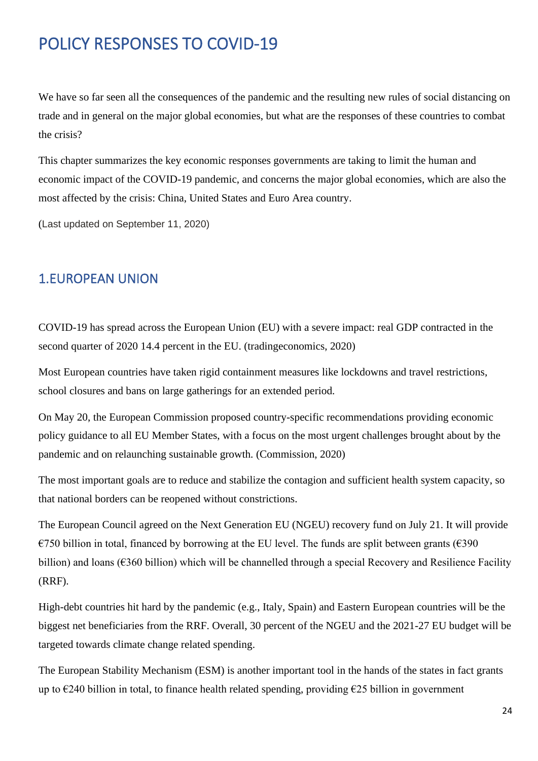# <span id="page-23-0"></span>POLICY RESPONSES TO COVID-19

We have so far seen all the consequences of the pandemic and the resulting new rules of social distancing on trade and in general on the major global economies, but what are the responses of these countries to combat the crisis?

This chapter summarizes the key economic responses governments are taking to limit the human and economic impact of the COVID-19 pandemic, and concerns the major global economies, which are also the most affected by the crisis: China, United States and Euro Area country.

(Last updated on September 11, 2020)

## <span id="page-23-1"></span>1.EUROPEAN UNION

COVID-19 has spread across the European Union (EU) with a severe impact: real GDP contracted in the second quarter of 2020 14.4 percent in the EU. (tradingeconomics, 2020)

Most European countries have taken rigid containment measures like lockdowns and travel restrictions, school closures and bans on large gatherings for an extended period.

On May 20, the European Commission proposed country-specific recommendations providing economic policy guidance to all EU Member States, with a focus on the most urgent challenges brought about by the pandemic and on relaunching sustainable growth. (Commission, 2020)

The most important goals are to reduce and stabilize the contagion and sufficient health system capacity, so that national borders can be reopened without constrictions.

The European Council agreed on the Next Generation EU (NGEU) recovery fund on July 21. It will provide €750 billion in total, financed by borrowing at the EU level. The funds are split between grants (€390 billion) and loans (€360 billion) which will be channelled through a special Recovery and Resilience Facility (RRF).

High-debt countries hit hard by the pandemic (e.g., Italy, Spain) and Eastern European countries will be the biggest net beneficiaries from the RRF. Overall, 30 percent of the NGEU and the 2021-27 EU budget will be targeted towards climate change related spending.

The European Stability Mechanism (ESM) is another important tool in the hands of the states in fact grants up to  $\epsilon$ 240 billion in total, to finance health related spending, providing  $\epsilon$ 25 billion in government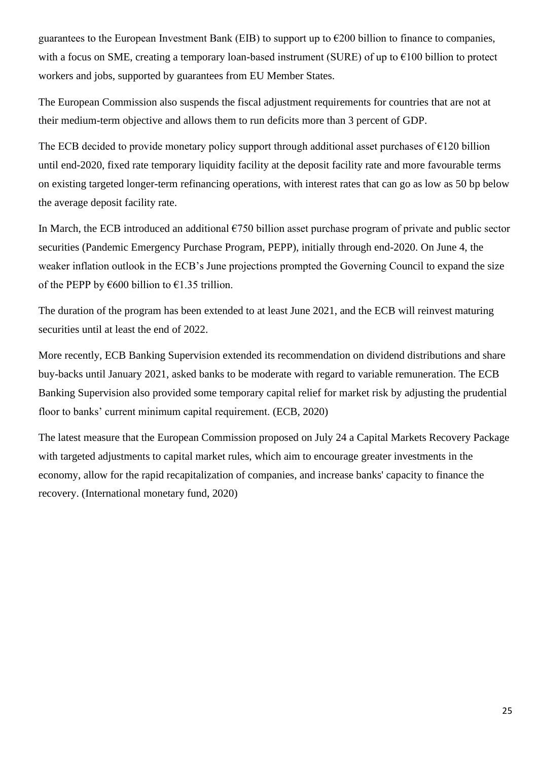guarantees to the European Investment Bank (EIB) to support up to  $\epsilon$ 200 billion to finance to companies, with a focus on SME, creating a temporary loan-based instrument (SURE) of up to  $\epsilon$ 100 billion to protect workers and jobs, supported by guarantees from EU Member States.

The European Commission also suspends the fiscal adjustment requirements for countries that are not at their medium-term objective and allows them to run deficits more than 3 percent of GDP.

The ECB decided to provide monetary policy support through additional asset purchases of  $\epsilon$ 120 billion until end-2020, fixed rate temporary liquidity facility at the deposit facility rate and more favourable terms on existing targeted longer-term refinancing operations, with interest rates that can go as low as 50 bp below the average deposit facility rate.

In March, the ECB introduced an additional  $\epsilon$ 750 billion asset purchase program of private and public sector securities (Pandemic Emergency Purchase Program, PEPP), initially through end-2020. On June 4, the weaker inflation outlook in the ECB's June projections prompted the Governing Council to expand the size of the PEPP by  $\epsilon$ 600 billion to  $\epsilon$ 1.35 trillion.

The duration of the program has been extended to at least June 2021, and the ECB will reinvest maturing securities until at least the end of 2022.

More recently, ECB Banking Supervision extended its [recommendation on dividend distributions and share](https://www.bankingsupervision.europa.eu/press/pr/date/2020/html/ssm.pr200728_1~42a74a0b86.en.html)  [buy-backs](https://www.bankingsupervision.europa.eu/press/pr/date/2020/html/ssm.pr200728_1~42a74a0b86.en.html) until January 2021, asked banks to be moderate with regard to variable remuneration. The ECB Banking Supervision also [provided some temporary capital relief for market risk](https://www.bankingsupervision.europa.eu/press/pr/date/2020/html/ssm.pr200416~ecf270bca8.en.html) by adjusting the prudential floor to banks' current minimum capital requirement. (ECB, 2020)

The latest measure that the European Commission proposed on July 24 a Capital Markets Recovery Package with targeted adjustments to capital market rules, which aim to encourage greater investments in the economy, allow for the rapid recapitalization of companies, and increase banks' capacity to finance the recovery. (International monetary fund, 2020)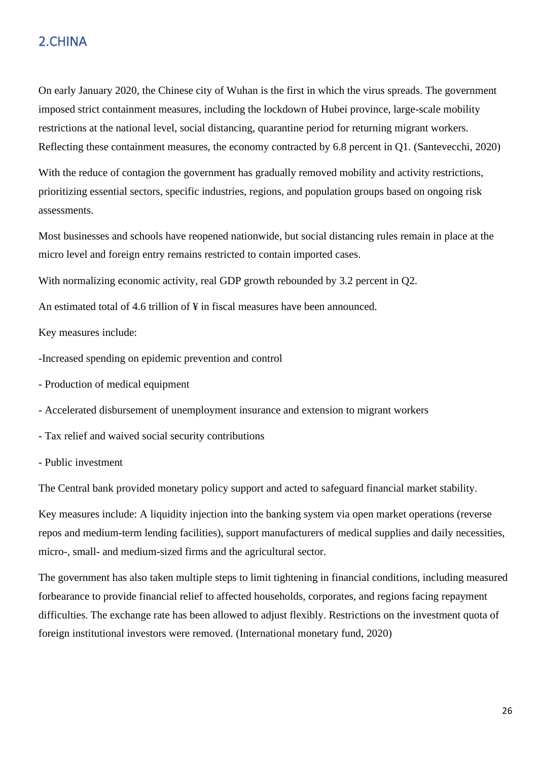# <span id="page-25-0"></span>2.CHINA

On early January 2020, the Chinese city of Wuhan is the first in which the virus spreads. The government imposed strict containment measures, including the lockdown of Hubei province, large-scale mobility restrictions at the national level, social distancing, quarantine period for returning migrant workers. Reflecting these containment measures, the economy contracted by 6.8 percent in Q1. (Santevecchi, 2020)

With the reduce of contagion the government has gradually removed mobility and activity restrictions, prioritizing essential sectors, specific industries, regions, and population groups based on ongoing risk assessments.

Most businesses and schools have reopened nationwide, but social distancing rules remain in place at the micro level and foreign entry remains restricted to contain imported cases.

With normalizing economic activity, real GDP growth rebounded by 3.2 percent in Q2.

An estimated total of 4.6 trillion of ¥ in fiscal measures have been announced.

Key measures include:

-Increased spending on epidemic prevention and control

- Production of medical equipment
- Accelerated disbursement of unemployment insurance and extension to migrant workers
- Tax relief and waived social security contributions
- Public investment

The Central bank provided monetary policy support and acted to safeguard financial market stability.

Key measures include: A liquidity injection into the banking system via open market operations (reverse repos and medium-term lending facilities), support manufacturers of medical supplies and daily necessities, micro-, small- and medium-sized firms and the agricultural sector.

The government has also taken multiple steps to limit tightening in financial conditions, including measured forbearance to provide financial relief to affected households, corporates, and regions facing repayment difficulties. The exchange rate has been allowed to adjust flexibly. Restrictions on the investment quota of foreign institutional investors were removed. (International monetary fund, 2020)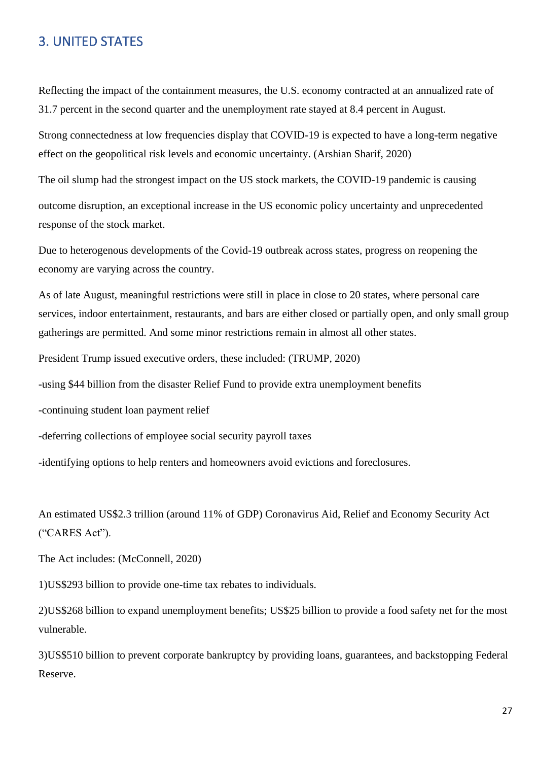## <span id="page-26-0"></span>3. UNITED STATES

Reflecting the impact of the containment measures, the U.S. economy contracted at an annualized rate of 31.7 percent in the second quarter and the unemployment rate stayed at 8.4 percent in August.

Strong connectedness at low frequencies display that COVID-19 is expected to have a long-term negative effect on the geopolitical risk levels and economic uncertainty. (Arshian Sharif, 2020)

The oil slump had the strongest impact on the US stock markets, the COVID-19 pandemic is causing

outcome disruption, an exceptional increase in the US economic policy uncertainty and unprecedented response of the stock market.

Due to heterogenous developments of the Covid-19 outbreak across states, progress on reopening the economy are varying across the country.

As of late August, meaningful restrictions were still in place in close to 20 states, where personal care services, indoor entertainment, restaurants, and bars are either closed or partially open, and only small group gatherings are permitted. And some minor restrictions remain in almost all other states.

President Trump issued executive orders, these included: (TRUMP, 2020)

-using \$44 billion from the disaster Relief Fund to provide extra unemployment benefits

-continuing student loan payment relief

-deferring collections of employee social security payroll taxes

-identifying options to help renters and homeowners avoid evictions and foreclosures.

An estimated US\$2.3 trillion (around 11% of GDP) Coronavirus Aid, Relief and Economy Security Act ("CARES Act").

The Act includes: (McConnell, 2020)

1)US\$293 billion to provide one-time tax rebates to individuals.

2)US\$268 billion to expand unemployment benefits; US\$25 billion to provide a food safety net for the most vulnerable.

3)US\$510 billion to prevent corporate bankruptcy by providing loans, guarantees, and backstopping Federal Reserve.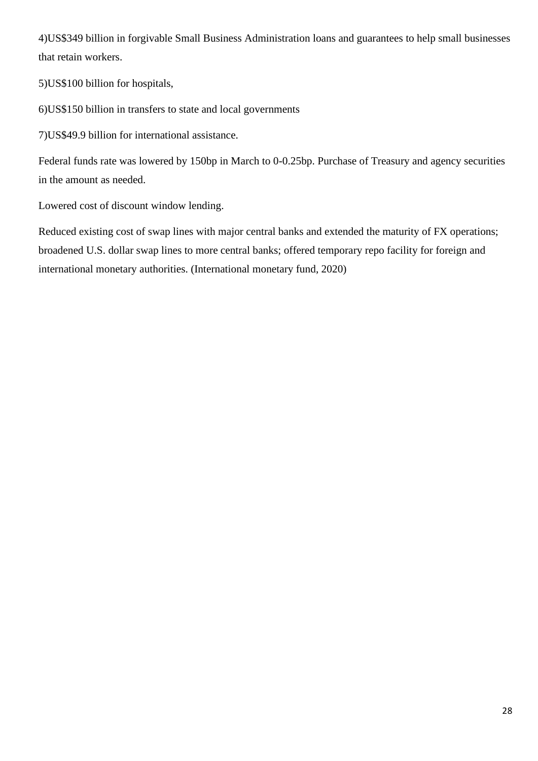4)US\$349 billion in forgivable Small Business Administration loans and guarantees to help small businesses that retain workers.

5)US\$100 billion for hospitals,

6)US\$150 billion in transfers to state and local governments

7)US\$49.9 billion for international assistance.

Federal funds rate was lowered by 150bp in March to 0-0.25bp. Purchase of Treasury and agency securities in the amount as needed.

Lowered cost of discount window lending.

Reduced existing cost of swap lines with major central banks and extended the maturity of FX operations; broadened U.S. dollar swap lines to more central banks; offered temporary repo facility for foreign and international monetary authorities. (International monetary fund, 2020)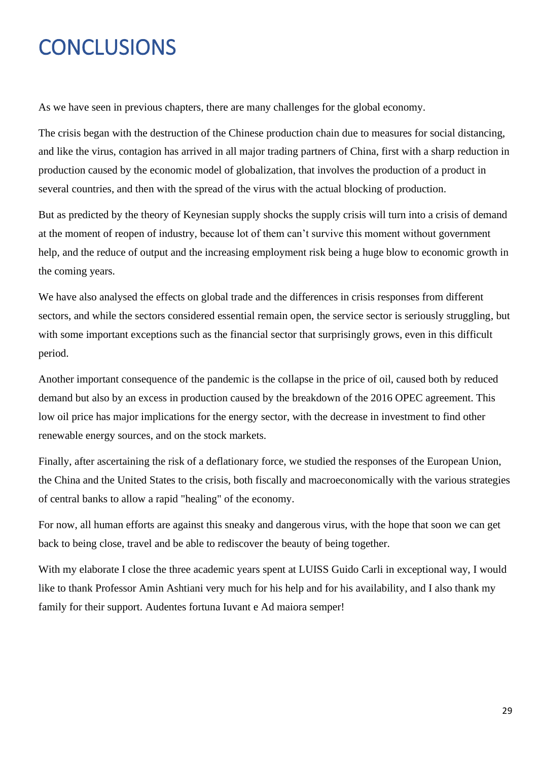# <span id="page-28-0"></span>**CONCLUSIONS**

As we have seen in previous chapters, there are many challenges for the global economy.

The crisis began with the destruction of the Chinese production chain due to measures for social distancing, and like the virus, contagion has arrived in all major trading partners of China, first with a sharp reduction in production caused by the economic model of globalization, that involves the production of a product in several countries, and then with the spread of the virus with the actual blocking of production.

But as predicted by the theory of Keynesian supply shocks the supply crisis will turn into a crisis of demand at the moment of reopen of industry, because lot of them can't survive this moment without government help, and the reduce of output and the increasing employment risk being a huge blow to economic growth in the coming years.

We have also analysed the effects on global trade and the differences in crisis responses from different sectors, and while the sectors considered essential remain open, the service sector is seriously struggling, but with some important exceptions such as the financial sector that surprisingly grows, even in this difficult period.

Another important consequence of the pandemic is the collapse in the price of oil, caused both by reduced demand but also by an excess in production caused by the breakdown of the 2016 OPEC agreement. This low oil price has major implications for the energy sector, with the decrease in investment to find other renewable energy sources, and on the stock markets.

Finally, after ascertaining the risk of a deflationary force, we studied the responses of the European Union, the China and the United States to the crisis, both fiscally and macroeconomically with the various strategies of central banks to allow a rapid "healing" of the economy.

For now, all human efforts are against this sneaky and dangerous virus, with the hope that soon we can get back to being close, travel and be able to rediscover the beauty of being together.

With my elaborate I close the three academic years spent at LUISS Guido Carli in exceptional way, I would like to thank Professor Amin Ashtiani very much for his help and for his availability, and I also thank my family for their support. Audentes fortuna Iuvant e Ad maiora semper!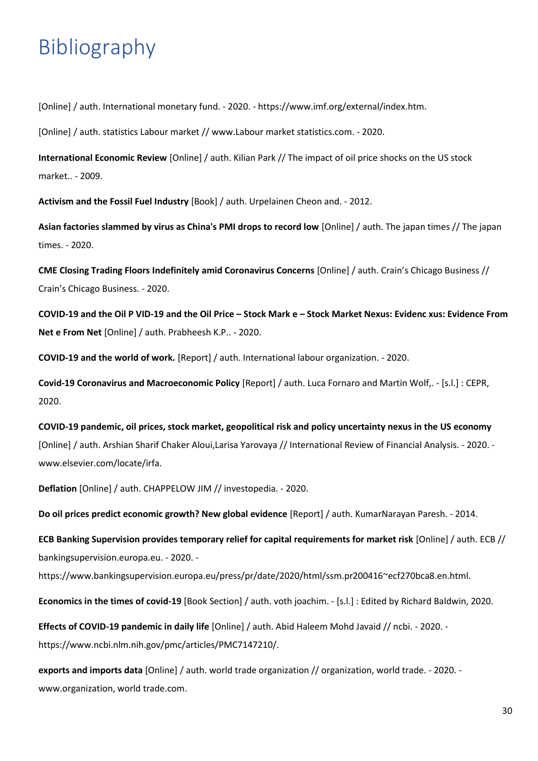# <span id="page-29-0"></span>Bibliography

[Online] / auth. International monetary fund. - 2020. - https://www.imf.org/external/index.htm.

[Online] / auth. statistics Labour market // www.Labour market statistics.com. - 2020.

**International Economic Review** [Online] / auth. Kilian Park // The impact of oil price shocks on the US stock market.. - 2009.

**Activism and the Fossil Fuel Industry** [Book] / auth. Urpelainen Cheon and. - 2012.

**Asian factories slammed by virus as China's PMI drops to record low** [Online] / auth. The japan times // The japan times. - 2020.

**CME Closing Trading Floors Indefinitely amid Coronavirus Concerns** [Online] / auth. Crain's Chicago Business // Crain's Chicago Business. - 2020.

**COVID-19 and the Oil P VID-19 and the Oil Price – Stock Mark e – Stock Market Nexus: Evidenc xus: Evidence From Net e From Net** [Online] / auth. Prabheesh K.P.. - 2020.

**COVID-19 and the world of work.** [Report] / auth. International labour organization. - 2020.

**Covid-19 Coronavirus and Macroeconomic Policy** [Report] / auth. Luca Fornaro and Martin Wolf,. - [s.l.] : CEPR, 2020.

**COVID-19 pandemic, oil prices, stock market, geopolitical risk and policy uncertainty nexus in the US economy** [Online] / auth. Arshian Sharif Chaker Aloui,Larisa Yarovaya // International Review of Financial Analysis. - 2020. www.elsevier.com/locate/irfa.

**Deflation** [Online] / auth. CHAPPELOW JIM // investopedia. - 2020.

**Do oil prices predict economic growth? New global evidence** [Report] / auth. KumarNarayan Paresh. - 2014.

**ECB Banking Supervision provides temporary relief for capital requirements for market risk** [Online] / auth. ECB // bankingsupervision.europa.eu. - 2020. -

https://www.bankingsupervision.europa.eu/press/pr/date/2020/html/ssm.pr200416~ecf270bca8.en.html.

**Economics in the times of covid-19** [Book Section] / auth. voth joachim. - [s.l.] : Edited by Richard Baldwin, 2020.

**Effects of COVID-19 pandemic in daily life** [Online] / auth. Abid Haleem Mohd Javaid // ncbi. - 2020. https://www.ncbi.nlm.nih.gov/pmc/articles/PMC7147210/.

**exports and imports data** [Online] / auth. world trade organization // organization, world trade. - 2020. www.organization, world trade.com.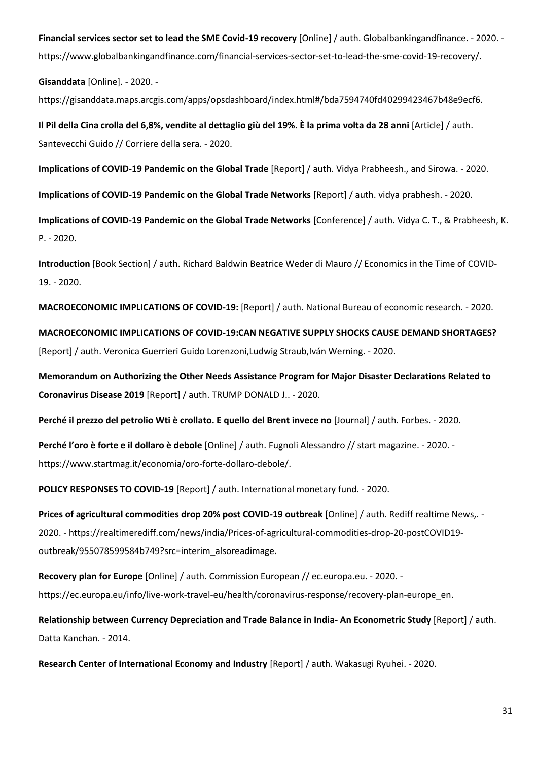**Financial services sector set to lead the SME Covid-19 recovery** [Online] / auth. Globalbankingandfinance. - 2020. https://www.globalbankingandfinance.com/financial-services-sector-set-to-lead-the-sme-covid-19-recovery/.

**Gisanddata** [Online]. - 2020. -

https://gisanddata.maps.arcgis.com/apps/opsdashboard/index.html#/bda7594740fd40299423467b48e9ecf6.

**Il Pil della Cina crolla del 6,8%, vendite al dettaglio giù del 19%. È la prima volta da 28 anni** [Article] / auth. Santevecchi Guido // Corriere della sera. - 2020.

**Implications of COVID-19 Pandemic on the Global Trade** [Report] / auth. Vidya Prabheesh., and Sirowa. - 2020.

**Implications of COVID-19 Pandemic on the Global Trade Networks** [Report] / auth. vidya prabhesh. - 2020.

**Implications of COVID-19 Pandemic on the Global Trade Networks** [Conference] / auth. Vidya C. T., & Prabheesh, K. P. - 2020.

**Introduction** [Book Section] / auth. Richard Baldwin Beatrice Weder di Mauro // Economics in the Time of COVID-19. - 2020.

**MACROECONOMIC IMPLICATIONS OF COVID-19:** [Report] / auth. National Bureau of economic research. - 2020.

**MACROECONOMIC IMPLICATIONS OF COVID-19:CAN NEGATIVE SUPPLY SHOCKS CAUSE DEMAND SHORTAGES?** [Report] / auth. Veronica Guerrieri Guido Lorenzoni,Ludwig Straub,Iván Werning. - 2020.

**Memorandum on Authorizing the Other Needs Assistance Program for Major Disaster Declarations Related to Coronavirus Disease 2019** [Report] / auth. TRUMP DONALD J.. - 2020.

**Perché il prezzo del petrolio Wti è crollato. E quello del Brent invece no** [Journal] / auth. Forbes. - 2020.

**Perché l'oro è forte e il dollaro è debole** [Online] / auth. Fugnoli Alessandro // start magazine. - 2020. https://www.startmag.it/economia/oro-forte-dollaro-debole/.

**POLICY RESPONSES TO COVID-19** [Report] / auth. International monetary fund. - 2020.

**Prices of agricultural commodities drop 20% post COVID-19 outbreak** [Online] / auth. Rediff realtime News,. - 2020. - https://realtimerediff.com/news/india/Prices-of-agricultural-commodities-drop-20-postCOVID19 outbreak/955078599584b749?src=interim\_alsoreadimage.

**Recovery plan for Europe** [Online] / auth. Commission European // ec.europa.eu. - 2020. https://ec.europa.eu/info/live-work-travel-eu/health/coronavirus-response/recovery-plan-europe\_en.

**Relationship between Currency Depreciation and Trade Balance in India- An Econometric Study** [Report] / auth. Datta Kanchan. - 2014.

**Research Center of International Economy and Industry** [Report] / auth. Wakasugi Ryuhei. - 2020.